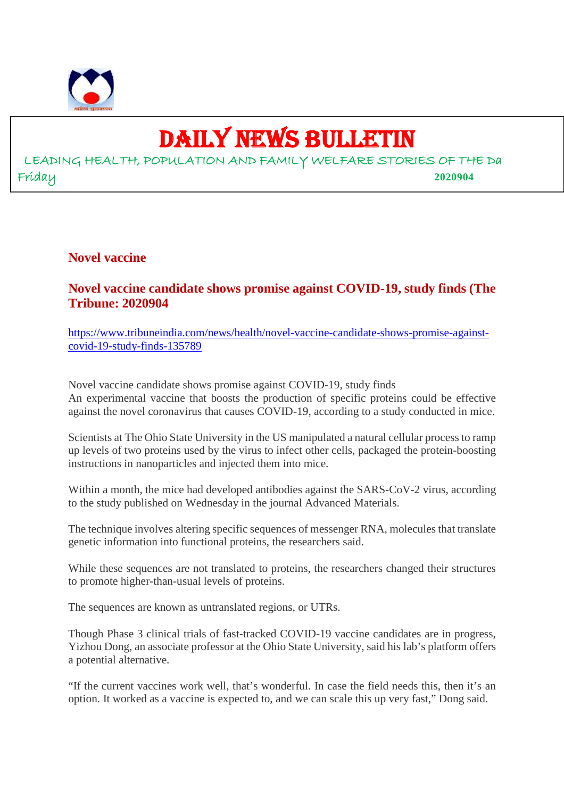

## DAILY NEWS BULLETIN

LEADING HEALTH, POPULATION AND FAMILY WELFARE STORIES OF THE Da Friday **2020904**

#### **Novel vaccine**

#### **Novel vaccine candidate shows promise against COVID-19, study finds (The Tribune: 2020904**

https://www.tribuneindia.com/news/health/novel-vaccine-candidate-shows-promise-againstcovid-19-study-finds-135789

Novel vaccine candidate shows promise against COVID-19, study finds An experimental vaccine that boosts the production of specific proteins could be effective against the novel coronavirus that causes COVID-19, according to a study conducted in mice.

Scientists at The Ohio State University in the US manipulated a natural cellular process to ramp up levels of two proteins used by the virus to infect other cells, packaged the protein-boosting instructions in nanoparticles and injected them into mice.

Within a month, the mice had developed antibodies against the SARS-CoV-2 virus, according to the study published on Wednesday in the journal Advanced Materials.

The technique involves altering specific sequences of messenger RNA, molecules that translate genetic information into functional proteins, the researchers said.

While these sequences are not translated to proteins, the researchers changed their structures to promote higher-than-usual levels of proteins.

The sequences are known as untranslated regions, or UTRs.

Though Phase 3 clinical trials of fast-tracked COVID-19 vaccine candidates are in progress, Yizhou Dong, an associate professor at the Ohio State University, said his lab's platform offers a potential alternative.

"If the current vaccines work well, that's wonderful. In case the field needs this, then it's an option. It worked as a vaccine is expected to, and we can scale this up very fast," Dong said.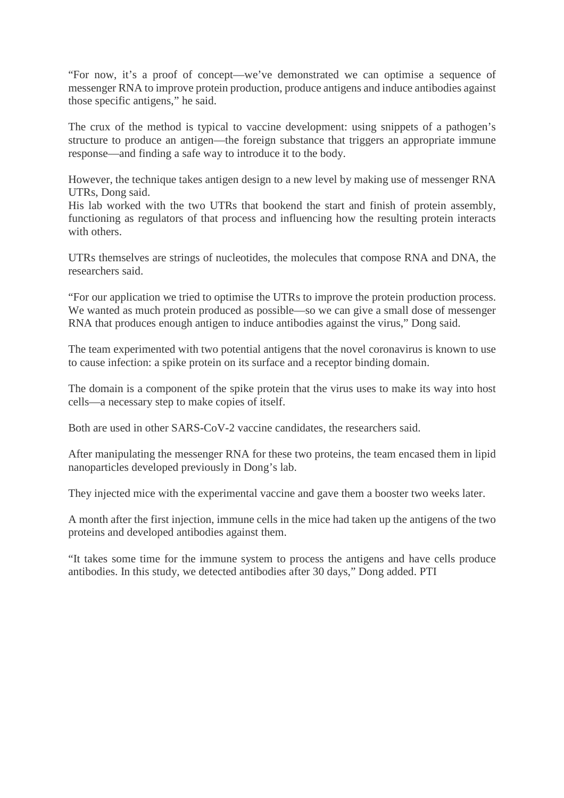"For now, it's a proof of concept—we've demonstrated we can optimise a sequence of messenger RNA to improve protein production, produce antigens and induce antibodies against those specific antigens," he said.

The crux of the method is typical to vaccine development: using snippets of a pathogen's structure to produce an antigen—the foreign substance that triggers an appropriate immune response—and finding a safe way to introduce it to the body.

However, the technique takes antigen design to a new level by making use of messenger RNA UTRs, Dong said.

His lab worked with the two UTRs that bookend the start and finish of protein assembly, functioning as regulators of that process and influencing how the resulting protein interacts with others.

UTRs themselves are strings of nucleotides, the molecules that compose RNA and DNA, the researchers said.

"For our application we tried to optimise the UTRs to improve the protein production process. We wanted as much protein produced as possible—so we can give a small dose of messenger RNA that produces enough antigen to induce antibodies against the virus," Dong said.

The team experimented with two potential antigens that the novel coronavirus is known to use to cause infection: a spike protein on its surface and a receptor binding domain.

The domain is a component of the spike protein that the virus uses to make its way into host cells—a necessary step to make copies of itself.

Both are used in other SARS-CoV-2 vaccine candidates, the researchers said.

After manipulating the messenger RNA for these two proteins, the team encased them in lipid nanoparticles developed previously in Dong's lab.

They injected mice with the experimental vaccine and gave them a booster two weeks later.

A month after the first injection, immune cells in the mice had taken up the antigens of the two proteins and developed antibodies against them.

"It takes some time for the immune system to process the antigens and have cells produce antibodies. In this study, we detected antibodies after 30 days," Dong added. PTI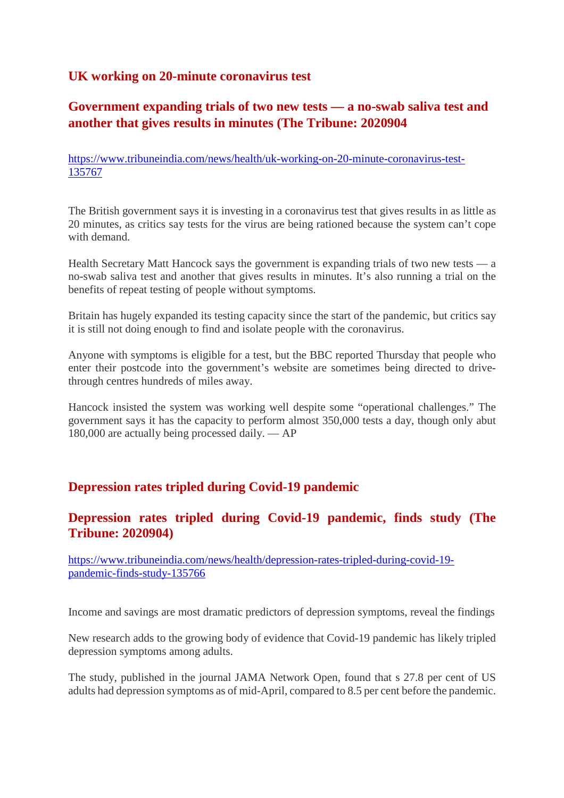#### **UK working on 20-minute coronavirus test**

#### **Government expanding trials of two new tests — a no-swab saliva test and another that gives results in minutes (The Tribune: 2020904**

https://www.tribuneindia.com/news/health/uk-working-on-20-minute-coronavirus-test-135767

The British government says it is investing in a coronavirus test that gives results in as little as 20 minutes, as critics say tests for the virus are being rationed because the system can't cope with demand.

Health Secretary Matt Hancock says the government is expanding trials of two new tests — a no-swab saliva test and another that gives results in minutes. It's also running a trial on the benefits of repeat testing of people without symptoms.

Britain has hugely expanded its testing capacity since the start of the pandemic, but critics say it is still not doing enough to find and isolate people with the coronavirus.

Anyone with symptoms is eligible for a test, but the BBC reported Thursday that people who enter their postcode into the government's website are sometimes being directed to drivethrough centres hundreds of miles away.

Hancock insisted the system was working well despite some "operational challenges." The government says it has the capacity to perform almost 350,000 tests a day, though only abut 180,000 are actually being processed daily. — AP

#### **Depression rates tripled during Covid-19 pandemic**

#### **Depression rates tripled during Covid-19 pandemic, finds study (The Tribune: 2020904)**

https://www.tribuneindia.com/news/health/depression-rates-tripled-during-covid-19 pandemic-finds-study-135766

Income and savings are most dramatic predictors of depression symptoms, reveal the findings

New research adds to the growing body of evidence that Covid-19 pandemic has likely tripled depression symptoms among adults.

The study, published in the journal JAMA Network Open, found that s 27.8 per cent of US adults had depression symptoms as of mid-April, compared to 8.5 per cent before the pandemic.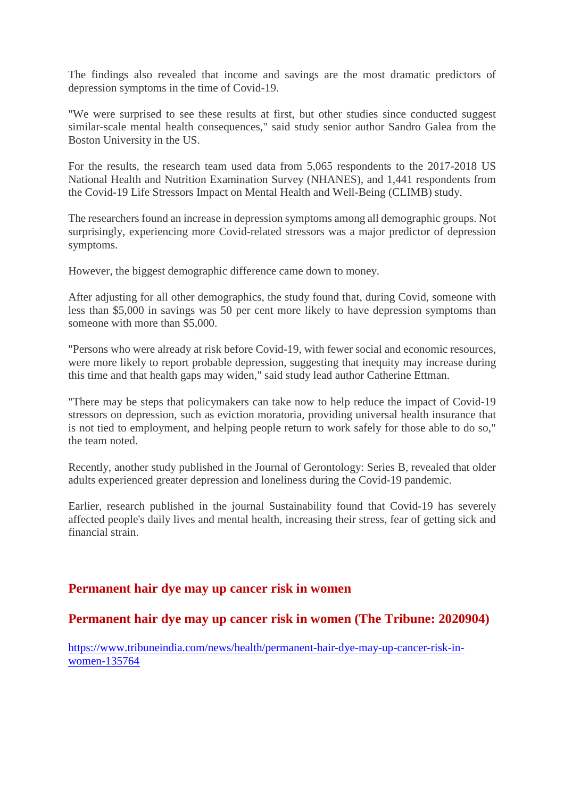The findings also revealed that income and savings are the most dramatic predictors of depression symptoms in the time of Covid-19.

"We were surprised to see these results at first, but other studies since conducted suggest similar-scale mental health consequences," said study senior author Sandro Galea from the Boston University in the US.

For the results, the research team used data from 5,065 respondents to the 2017-2018 US National Health and Nutrition Examination Survey (NHANES), and 1,441 respondents from the Covid-19 Life Stressors Impact on Mental Health and Well-Being (CLIMB) study.

The researchers found an increase in depression symptoms among all demographic groups. Not surprisingly, experiencing more Covid-related stressors was a major predictor of depression symptoms.

However, the biggest demographic difference came down to money.

After adjusting for all other demographics, the study found that, during Covid, someone with less than \$5,000 in savings was 50 per cent more likely to have depression symptoms than someone with more than \$5,000.

"Persons who were already at risk before Covid-19, with fewer social and economic resources, were more likely to report probable depression, suggesting that inequity may increase during this time and that health gaps may widen," said study lead author Catherine Ettman.

"There may be steps that policymakers can take now to help reduce the impact of Covid-19 stressors on depression, such as eviction moratoria, providing universal health insurance that is not tied to employment, and helping people return to work safely for those able to do so," the team noted.

Recently, another study published in the Journal of Gerontology: Series B, revealed that older adults experienced greater depression and loneliness during the Covid-19 pandemic.

Earlier, research published in the journal Sustainability found that Covid-19 has severely affected people's daily lives and mental health, increasing their stress, fear of getting sick and financial strain.

#### **Permanent hair dye may up cancer risk in women**

#### **Permanent hair dye may up cancer risk in women (The Tribune: 2020904)**

https://www.tribuneindia.com/news/health/permanent-hair-dye-may-up-cancer-risk-inwomen-135764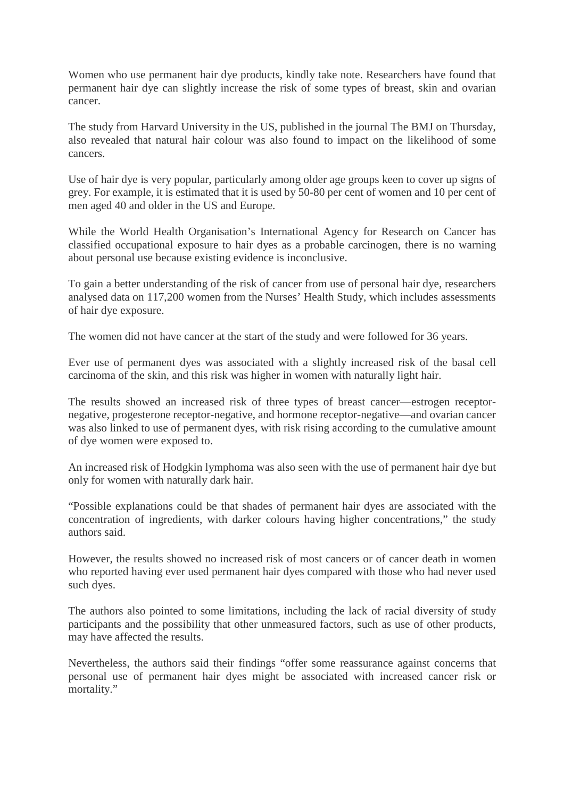Women who use permanent hair dye products, kindly take note. Researchers have found that permanent hair dye can slightly increase the risk of some types of breast, skin and ovarian cancer.

The study from Harvard University in the US, published in the journal The BMJ on Thursday, also revealed that natural hair colour was also found to impact on the likelihood of some cancers.

Use of hair dye is very popular, particularly among older age groups keen to cover up signs of grey. For example, it is estimated that it is used by 50-80 per cent of women and 10 per cent of men aged 40 and older in the US and Europe.

While the World Health Organisation's International Agency for Research on Cancer has classified occupational exposure to hair dyes as a probable carcinogen, there is no warning about personal use because existing evidence is inconclusive.

To gain a better understanding of the risk of cancer from use of personal hair dye, researchers analysed data on 117,200 women from the Nurses' Health Study, which includes assessments of hair dye exposure.

The women did not have cancer at the start of the study and were followed for 36 years.

Ever use of permanent dyes was associated with a slightly increased risk of the basal cell carcinoma of the skin, and this risk was higher in women with naturally light hair.

The results showed an increased risk of three types of breast cancer—estrogen receptornegative, progesterone receptor-negative, and hormone receptor-negative—and ovarian cancer was also linked to use of permanent dyes, with risk rising according to the cumulative amount of dye women were exposed to.

An increased risk of Hodgkin lymphoma was also seen with the use of permanent hair dye but only for women with naturally dark hair.

"Possible explanations could be that shades of permanent hair dyes are associated with the concentration of ingredients, with darker colours having higher concentrations," the study authors said.

However, the results showed no increased risk of most cancers or of cancer death in women who reported having ever used permanent hair dyes compared with those who had never used such dyes.

The authors also pointed to some limitations, including the lack of racial diversity of study participants and the possibility that other unmeasured factors, such as use of other products, may have affected the results.

Nevertheless, the authors said their findings "offer some reassurance against concerns that personal use of permanent hair dyes might be associated with increased cancer risk or mortality."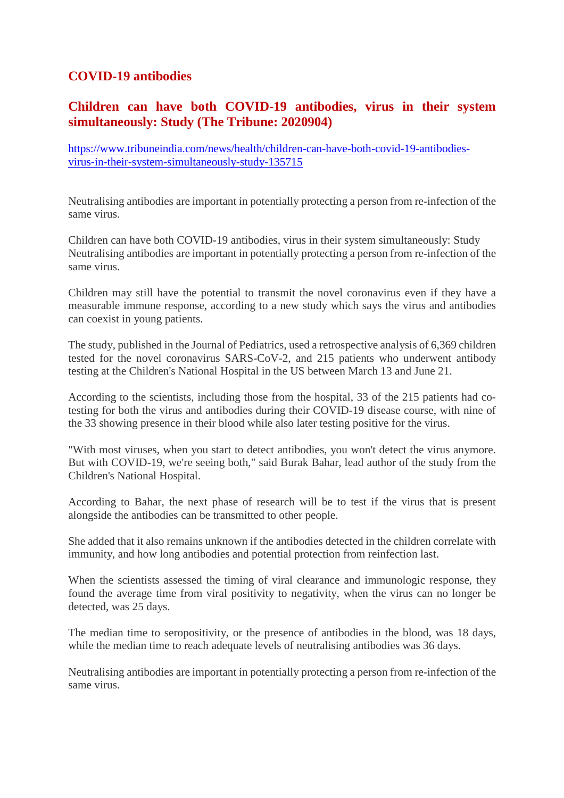#### **COVID-19 antibodies**

#### **Children can have both COVID-19 antibodies, virus in their system simultaneously: Study (The Tribune: 2020904)**

https://www.tribuneindia.com/news/health/children-can-have-both-covid-19-antibodiesvirus-in-their-system-simultaneously-study-135715

Neutralising antibodies are important in potentially protecting a person from re-infection of the same virus.

Children can have both COVID-19 antibodies, virus in their system simultaneously: Study Neutralising antibodies are important in potentially protecting a person from re-infection of the same virus.

Children may still have the potential to transmit the novel coronavirus even if they have a measurable immune response, according to a new study which says the virus and antibodies can coexist in young patients.

The study, published in the Journal of Pediatrics, used a retrospective analysis of 6,369 children tested for the novel coronavirus SARS-CoV-2, and 215 patients who underwent antibody testing at the Children's National Hospital in the US between March 13 and June 21.

According to the scientists, including those from the hospital, 33 of the 215 patients had cotesting for both the virus and antibodies during their COVID-19 disease course, with nine of the 33 showing presence in their blood while also later testing positive for the virus.

"With most viruses, when you start to detect antibodies, you won't detect the virus anymore. But with COVID-19, we're seeing both," said Burak Bahar, lead author of the study from the Children's National Hospital.

According to Bahar, the next phase of research will be to test if the virus that is present alongside the antibodies can be transmitted to other people.

She added that it also remains unknown if the antibodies detected in the children correlate with immunity, and how long antibodies and potential protection from reinfection last.

When the scientists assessed the timing of viral clearance and immunologic response, they found the average time from viral positivity to negativity, when the virus can no longer be detected, was 25 days.

The median time to seropositivity, or the presence of antibodies in the blood, was 18 days, while the median time to reach adequate levels of neutralising antibodies was 36 days.

Neutralising antibodies are important in potentially protecting a person from re-infection of the same virus.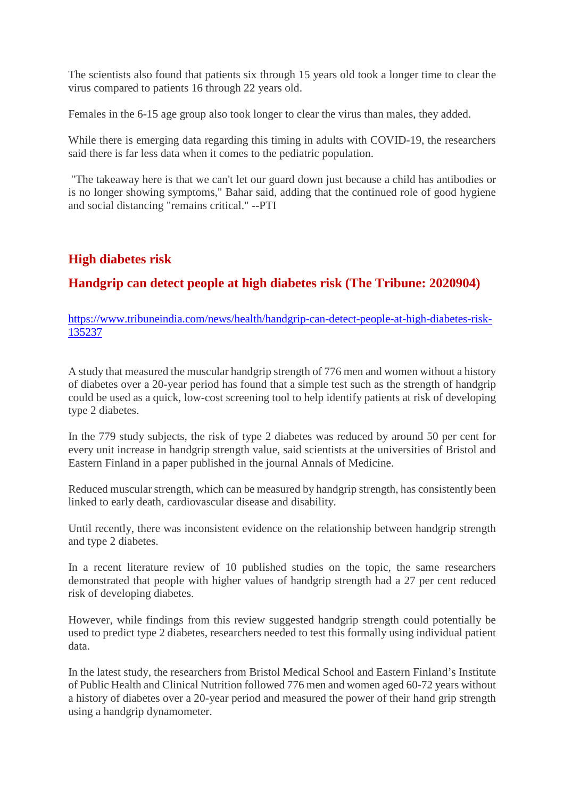The scientists also found that patients six through 15 years old took a longer time to clear the virus compared to patients 16 through 22 years old.

Females in the 6-15 age group also took longer to clear the virus than males, they added.

While there is emerging data regarding this timing in adults with COVID-19, the researchers said there is far less data when it comes to the pediatric population.

"The takeaway here is that we can't let our guard down just because a child has antibodies or is no longer showing symptoms," Bahar said, adding that the continued role of good hygiene and social distancing "remains critical." --PTI

#### **High diabetes risk**

#### **Handgrip can detect people at high diabetes risk (The Tribune: 2020904)**

https://www.tribuneindia.com/news/health/handgrip-can-detect-people-at-high-diabetes-risk-135237

A study that measured the muscular handgrip strength of 776 men and women without a history of diabetes over a 20-year period has found that a simple test such as the strength of handgrip could be used as a quick, low-cost screening tool to help identify patients at risk of developing type 2 diabetes.

In the 779 study subjects, the risk of type 2 diabetes was reduced by around 50 per cent for every unit increase in handgrip strength value, said scientists at the universities of Bristol and Eastern Finland in a paper published in the journal Annals of Medicine.

Reduced muscular strength, which can be measured by handgrip strength, has consistently been linked to early death, cardiovascular disease and disability.

Until recently, there was inconsistent evidence on the relationship between handgrip strength and type 2 diabetes.

In a recent literature review of 10 published studies on the topic, the same researchers demonstrated that people with higher values of handgrip strength had a 27 per cent reduced risk of developing diabetes.

However, while findings from this review suggested handgrip strength could potentially be used to predict type 2 diabetes, researchers needed to test this formally using individual patient data.

In the latest study, the researchers from Bristol Medical School and Eastern Finland's Institute of Public Health and Clinical Nutrition followed 776 men and women aged 60-72 years without a history of diabetes over a 20-year period and measured the power of their hand grip strength using a handgrip dynamometer.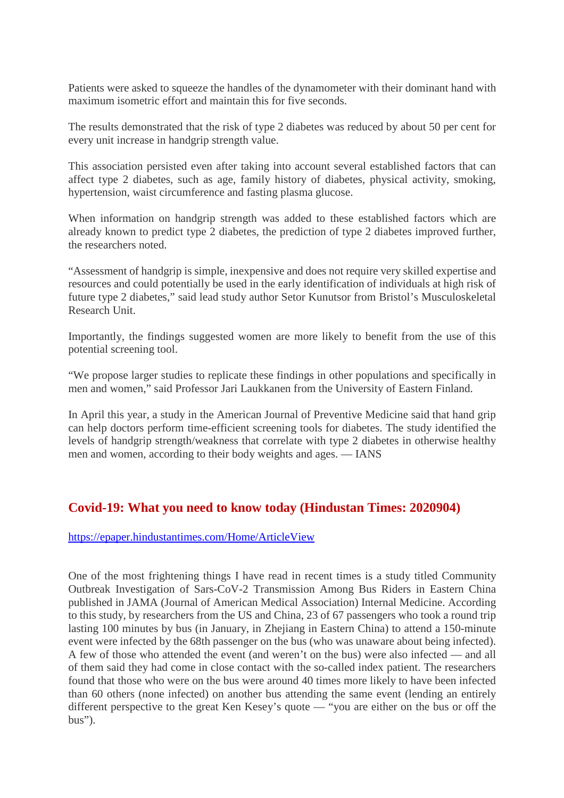Patients were asked to squeeze the handles of the dynamometer with their dominant hand with maximum isometric effort and maintain this for five seconds.

The results demonstrated that the risk of type 2 diabetes was reduced by about 50 per cent for every unit increase in handgrip strength value.

This association persisted even after taking into account several established factors that can affect type 2 diabetes, such as age, family history of diabetes, physical activity, smoking, hypertension, waist circumference and fasting plasma glucose.

When information on handgrip strength was added to these established factors which are already known to predict type 2 diabetes, the prediction of type 2 diabetes improved further, the researchers noted.

"Assessment of handgrip is simple, inexpensive and does not require very skilled expertise and resources and could potentially be used in the early identification of individuals at high risk of future type 2 diabetes," said lead study author Setor Kunutsor from Bristol's Musculoskeletal Research Unit.

Importantly, the findings suggested women are more likely to benefit from the use of this potential screening tool.

"We propose larger studies to replicate these findings in other populations and specifically in men and women," said Professor Jari Laukkanen from the University of Eastern Finland.

In April this year, a study in the American Journal of Preventive Medicine said that hand grip can help doctors perform time-efficient screening tools for diabetes. The study identified the levels of handgrip strength/weakness that correlate with type 2 diabetes in otherwise healthy men and women, according to their body weights and ages. — IANS

#### **Covid-19: What you need to know today (Hindustan Times: 2020904)**

https://epaper.hindustantimes.com/Home/ArticleView

One of the most frightening things I have read in recent times is a study titled Community Outbreak Investigation of Sars-CoV-2 Transmission Among Bus Riders in Eastern China published in JAMA (Journal of American Medical Association) Internal Medicine. According to this study, by researchers from the US and China, 23 of 67 passengers who took a round trip lasting 100 minutes by bus (in January, in Zhejiang in Eastern China) to attend a 150-minute event were infected by the 68th passenger on the bus (who was unaware about being infected). A few of those who attended the event (and weren't on the bus) were also infected — and all of them said they had come in close contact with the so-called index patient. The researchers found that those who were on the bus were around 40 times more likely to have been infected than 60 others (none infected) on another bus attending the same event (lending an entirely different perspective to the great Ken Kesey's quote — "you are either on the bus or off the bus").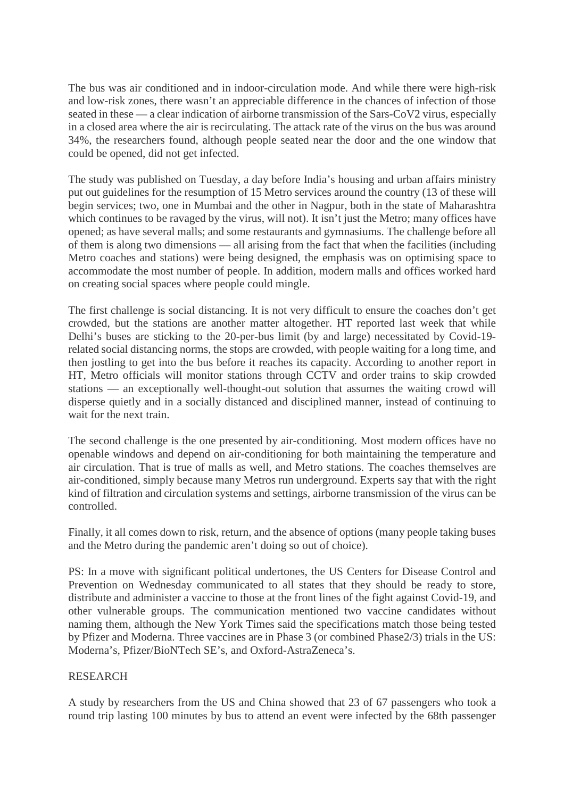The bus was air conditioned and in indoor-circulation mode. And while there were high-risk and low-risk zones, there wasn't an appreciable difference in the chances of infection of those seated in these — a clear indication of airborne transmission of the Sars-CoV2 virus, especially in a closed area where the air is recirculating. The attack rate of the virus on the bus was around 34%, the researchers found, although people seated near the door and the one window that could be opened, did not get infected.

The study was published on Tuesday, a day before India's housing and urban affairs ministry put out guidelines for the resumption of 15 Metro services around the country (13 of these will begin services; two, one in Mumbai and the other in Nagpur, both in the state of Maharashtra which continues to be ravaged by the virus, will not). It isn't just the Metro; many offices have opened; as have several malls; and some restaurants and gymnasiums. The challenge before all of them is along two dimensions — all arising from the fact that when the facilities (including Metro coaches and stations) were being designed, the emphasis was on optimising space to accommodate the most number of people. In addition, modern malls and offices worked hard on creating social spaces where people could mingle.

The first challenge is social distancing. It is not very difficult to ensure the coaches don't get crowded, but the stations are another matter altogether. HT reported last week that while Delhi's buses are sticking to the 20-per-bus limit (by and large) necessitated by Covid-19 related social distancing norms, the stops are crowded, with people waiting for a long time, and then jostling to get into the bus before it reaches its capacity. According to another report in HT, Metro officials will monitor stations through CCTV and order trains to skip crowded stations — an exceptionally well-thought-out solution that assumes the waiting crowd will disperse quietly and in a socially distanced and disciplined manner, instead of continuing to wait for the next train.

The second challenge is the one presented by air-conditioning. Most modern offices have no openable windows and depend on air-conditioning for both maintaining the temperature and air circulation. That is true of malls as well, and Metro stations. The coaches themselves are air-conditioned, simply because many Metros run underground. Experts say that with the right kind of filtration and circulation systems and settings, airborne transmission of the virus can be controlled.

Finally, it all comes down to risk, return, and the absence of options (many people taking buses and the Metro during the pandemic aren't doing so out of choice).

PS: In a move with significant political undertones, the US Centers for Disease Control and Prevention on Wednesday communicated to all states that they should be ready to store, distribute and administer a vaccine to those at the front lines of the fight against Covid-19, and other vulnerable groups. The communication mentioned two vaccine candidates without naming them, although the New York Times said the specifications match those being tested by Pfizer and Moderna. Three vaccines are in Phase 3 (or combined Phase2/3) trials in the US: Moderna's, Pfizer/BioNTech SE's, and Oxford-AstraZeneca's.

#### RESEARCH

A study by researchers from the US and China showed that 23 of 67 passengers who took a round trip lasting 100 minutes by bus to attend an event were infected by the 68th passenger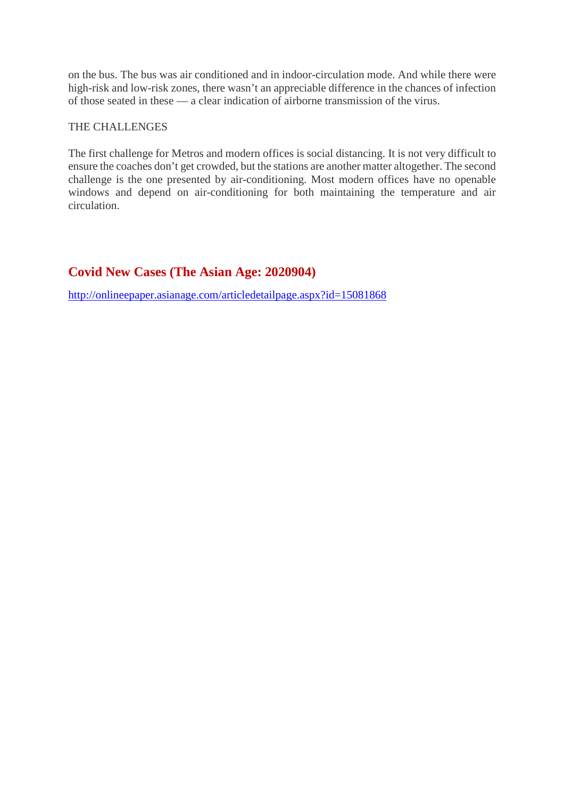on the bus. The bus was air conditioned and in indoor-circulation mode. And while there were high-risk and low-risk zones, there wasn't an appreciable difference in the chances of infection of those seated in these — a clear indication of airborne transmission of the virus.

#### THE CHALLENGES

The first challenge for Metros and modern offices is social distancing. It is not very difficult to ensure the coaches don't get crowded, but the stations are another matter altogether. The second challenge is the one presented by air-conditioning. Most modern offices have no openable windows and depend on air-conditioning for both maintaining the temperature and air circulation.

#### **Covid New Cases (The Asian Age: 2020904)**

http://onlineepaper.asianage.com/articledetailpage.aspx?id=15081868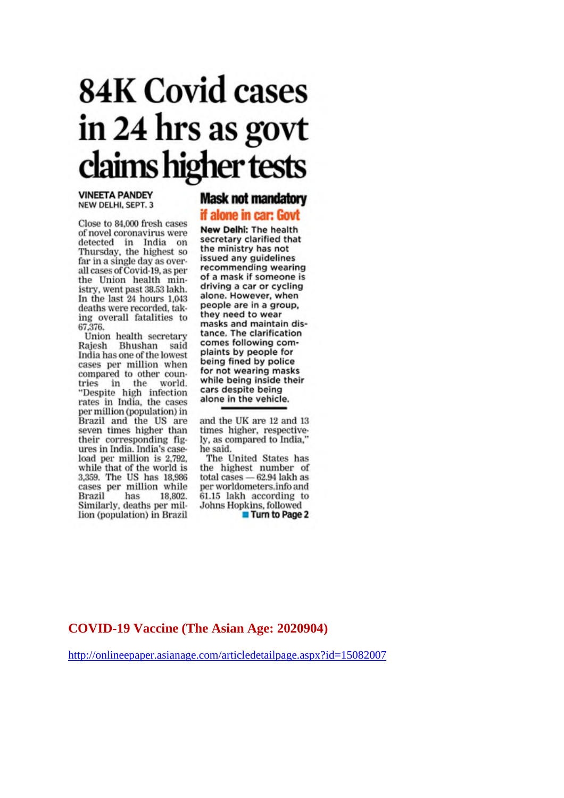## **84K Covid cases** in 24 hrs as govt claims higher tests

#### **VINEETA PANDEY** NEW DELHI, SEPT. 3

Close to 84,000 fresh cases of novel coronavirus were detected in India on Thursday, the highest so far in a single day as overall cases of Covid-19, as per the Union health ministry, went past 38.53 lakh. In the last 24 hours 1,043 deaths were recorded, taking overall fatalities to 67,376.

Union health secretary Rajesh Bhushan said India has one of the lowest cases per million when compared to other countries in the world. "Despite high infection rates in India, the cases per million (population) in Brazil and the US are<br>seven times higher than their corresponding figures in India. India's caseload per million is 2,792, while that of the world is 3,359. The US has 18,986 cases per million while **Brazil** has 18,802. Similarly, deaths per million (population) in Brazil

#### **Mask not mandatory**

#### if alone in car: Govt

New Delhi: The health secretary clarified that the ministry has not issued any guidelines recommending wearing of a mask if someone is driving a car or cycling alone. However, when people are in a group, they need to wear masks and maintain distance. The clarification comes following complaints by people for being fined by police for not wearing masks while being inside their cars despite being alone in the vehicle.

and the UK are 12 and 13 times higher, respectively, as compared to India," he said.

The United States has the highest number of total cases  $-62.94$  lakh as per worldometers.info and 61.15 lakh according to Johns Hopkins, followed Turn to Page 2

#### **COVID-19 Vaccine (The Asian Age: 2020904)**

http://onlineepaper.asianage.com/articledetailpage.aspx?id=15082007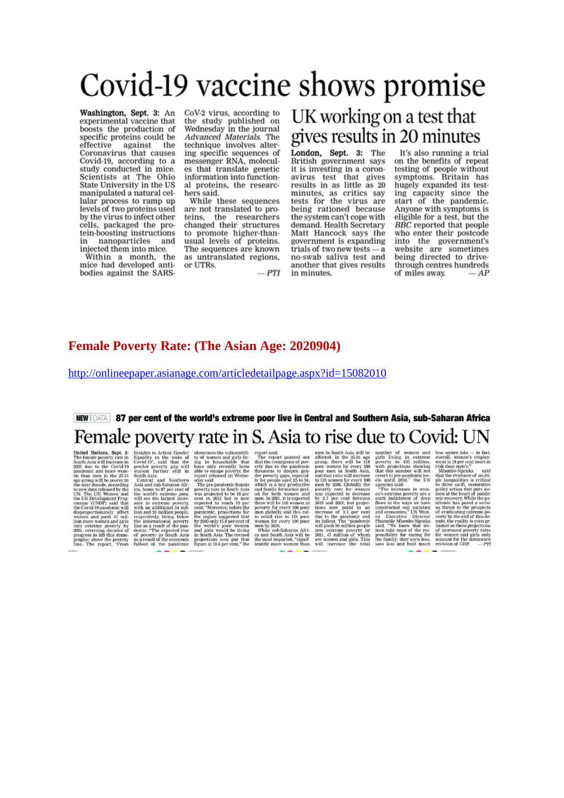## Covid-19 vaccine shows promise

Washington, Sept. 3: An<br>experimental vaccine that boosts the production of specific proteins could be effective against the Coronavirus that causes Covid-19, according to a study conducted in mice. Scientists at The Ohio State University in the US manipulated a natural cellular process to ramp up levels of two proteins used by the virus to infect other cells, packaged the protein-boosting instructions in nanoparticles and injected them into mice.

Within a month, the mice had developed antibodies against the SARS-

CoV-2 virus, according to<br>the study published on<br>Wednesday in the journal Advanced Materials. The technique involves altering specific sequences of messenger RNA, molecules that translate genetic information into functional proteins, the researchers said.

While these sequences are not translated to proteins, the researchers<br>changed their structures to promote higher-thanusual levels of proteins. The sequences are known as untranslated regions, or UTRs.

 $- PT$ 

#### UK working on a test that gives results in 20 minutes

London, Sept. 3: The British government says it is investing in a coronavirus test that gives<br>results in as little as 20 minutes, as critics say<br>tests for the virus are being rationed because the system can't cope with demand. Health Secretary Matt Hancock says the government is expanding trials of two new tests - a no-swab saliva test and another that gives results in minutes.

It's also running a trial on the benefits of repeat testing of people without symptoms. Britain has hugely expanded its testing capacity since the<br>start of the pandemic. Anyone with symptoms is eligible for a test, but the BBC reported that people who enter their postcode into the government's website are sometimes<br>being directed to drivethrough centres hundreds of miles away. – AP

#### **Female Poverty Rate: (The Asian Age: 2020904)**

http://onlineepaper.asianage.com/articledetailpage.aspx?id=15082010

#### NEW DATA 87 per cent of the world's extreme poor live in Central and Southern Asia, sub-Saharan Africa Female poverty rate in S. Asia to rise due to Covid: UN

The female point of the same and the matter of shorts are the same that the Third The female powerty rate in Equality in the wake of ty of women and girls lives and that the same and covid-19 gadd that the impairment and

The report state and the number of women and the secure jobs - in fact, the mean in South Asia will be number of women and less secure jobs - in fact, the repart point at fifted contained out affected, in the 25-34 age gi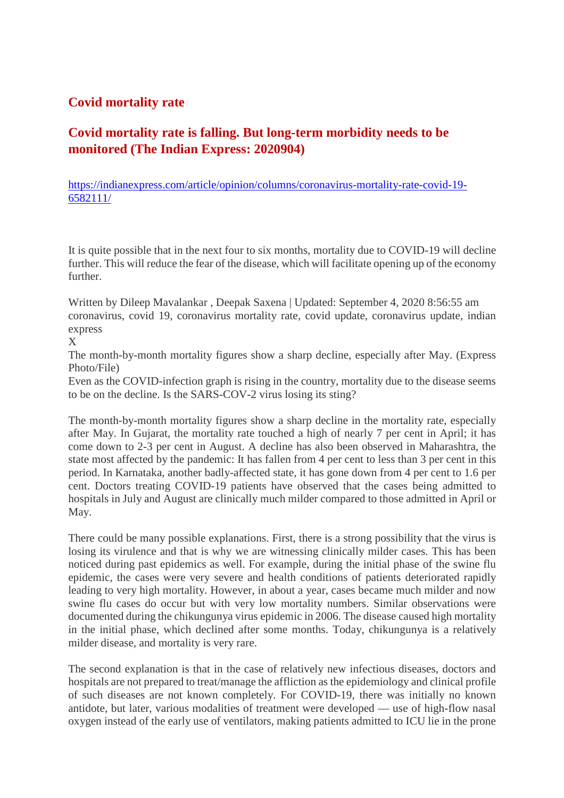#### **Covid mortality rate**

#### **Covid mortality rate is falling. But long-term morbidity needs to be monitored (The Indian Express: 2020904)**

https://indianexpress.com/article/opinion/columns/coronavirus-mortality-rate-covid-19- 6582111/

It is quite possible that in the next four to six months, mortality due to COVID-19 will decline further. This will reduce the fear of the disease, which will facilitate opening up of the economy further.

Written by Dileep Mavalankar , Deepak Saxena | Updated: September 4, 2020 8:56:55 am coronavirus, covid 19, coronavirus mortality rate, covid update, coronavirus update, indian express

X

The month-by-month mortality figures show a sharp decline, especially after May. (Express Photo/File)

Even as the COVID-infection graph is rising in the country, mortality due to the disease seems to be on the decline. Is the SARS-COV-2 virus losing its sting?

The month-by-month mortality figures show a sharp decline in the mortality rate, especially after May. In Gujarat, the mortality rate touched a high of nearly 7 per cent in April; it has come down to 2-3 per cent in August. A decline has also been observed in Maharashtra, the state most affected by the pandemic: It has fallen from 4 per cent to less than 3 per cent in this period. In Karnataka, another badly-affected state, it has gone down from 4 per cent to 1.6 per cent. Doctors treating COVID-19 patients have observed that the cases being admitted to hospitals in July and August are clinically much milder compared to those admitted in April or May.

There could be many possible explanations. First, there is a strong possibility that the virus is losing its virulence and that is why we are witnessing clinically milder cases. This has been noticed during past epidemics as well. For example, during the initial phase of the swine flu epidemic, the cases were very severe and health conditions of patients deteriorated rapidly leading to very high mortality. However, in about a year, cases became much milder and now swine flu cases do occur but with very low mortality numbers. Similar observations were documented during the chikungunya virus epidemic in 2006. The disease caused high mortality in the initial phase, which declined after some months. Today, chikungunya is a relatively milder disease, and mortality is very rare.

The second explanation is that in the case of relatively new infectious diseases, doctors and hospitals are not prepared to treat/manage the affliction as the epidemiology and clinical profile of such diseases are not known completely. For COVID-19, there was initially no known antidote, but later, various modalities of treatment were developed — use of high-flow nasal oxygen instead of the early use of ventilators, making patients admitted to ICU lie in the prone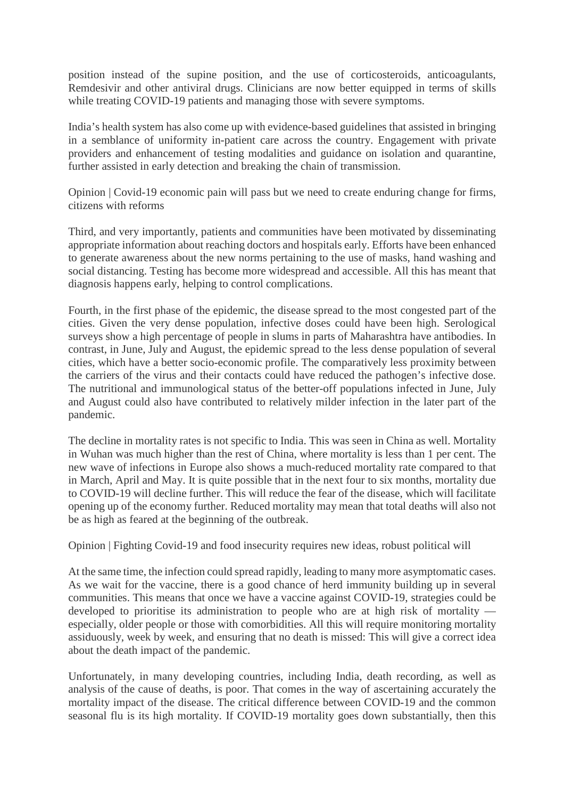position instead of the supine position, and the use of corticosteroids, anticoagulants, Remdesivir and other antiviral drugs. Clinicians are now better equipped in terms of skills while treating COVID-19 patients and managing those with severe symptoms.

India's health system has also come up with evidence-based guidelines that assisted in bringing in a semblance of uniformity in-patient care across the country. Engagement with private providers and enhancement of testing modalities and guidance on isolation and quarantine, further assisted in early detection and breaking the chain of transmission.

Opinion | Covid-19 economic pain will pass but we need to create enduring change for firms, citizens with reforms

Third, and very importantly, patients and communities have been motivated by disseminating appropriate information about reaching doctors and hospitals early. Efforts have been enhanced to generate awareness about the new norms pertaining to the use of masks, hand washing and social distancing. Testing has become more widespread and accessible. All this has meant that diagnosis happens early, helping to control complications.

Fourth, in the first phase of the epidemic, the disease spread to the most congested part of the cities. Given the very dense population, infective doses could have been high. Serological surveys show a high percentage of people in slums in parts of Maharashtra have antibodies. In contrast, in June, July and August, the epidemic spread to the less dense population of several cities, which have a better socio-economic profile. The comparatively less proximity between the carriers of the virus and their contacts could have reduced the pathogen's infective dose. The nutritional and immunological status of the better-off populations infected in June, July and August could also have contributed to relatively milder infection in the later part of the pandemic.

The decline in mortality rates is not specific to India. This was seen in China as well. Mortality in Wuhan was much higher than the rest of China, where mortality is less than 1 per cent. The new wave of infections in Europe also shows a much-reduced mortality rate compared to that in March, April and May. It is quite possible that in the next four to six months, mortality due to COVID-19 will decline further. This will reduce the fear of the disease, which will facilitate opening up of the economy further. Reduced mortality may mean that total deaths will also not be as high as feared at the beginning of the outbreak.

Opinion | Fighting Covid-19 and food insecurity requires new ideas, robust political will

At the same time, the infection could spread rapidly, leading to many more asymptomatic cases. As we wait for the vaccine, there is a good chance of herd immunity building up in several communities. This means that once we have a vaccine against COVID-19, strategies could be developed to prioritise its administration to people who are at high risk of mortality especially, older people or those with comorbidities. All this will require monitoring mortality assiduously, week by week, and ensuring that no death is missed: This will give a correct idea about the death impact of the pandemic.

Unfortunately, in many developing countries, including India, death recording, as well as analysis of the cause of deaths, is poor. That comes in the way of ascertaining accurately the mortality impact of the disease. The critical difference between COVID-19 and the common seasonal flu is its high mortality. If COVID-19 mortality goes down substantially, then this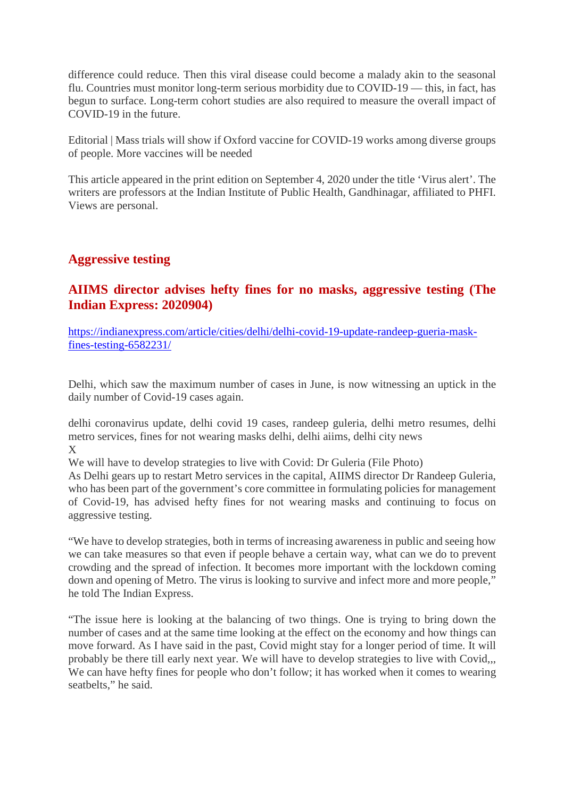difference could reduce. Then this viral disease could become a malady akin to the seasonal flu. Countries must monitor long-term serious morbidity due to COVID-19 — this, in fact, has begun to surface. Long-term cohort studies are also required to measure the overall impact of COVID-19 in the future.

Editorial | Mass trials will show if Oxford vaccine for COVID-19 works among diverse groups of people. More vaccines will be needed

This article appeared in the print edition on September 4, 2020 under the title 'Virus alert'. The writers are professors at the Indian Institute of Public Health, Gandhinagar, affiliated to PHFI. Views are personal.

#### **Aggressive testing**

#### **AIIMS director advises hefty fines for no masks, aggressive testing (The Indian Express: 2020904)**

https://indianexpress.com/article/cities/delhi/delhi-covid-19-update-randeep-gueria-maskfines-testing-6582231/

Delhi, which saw the maximum number of cases in June, is now witnessing an uptick in the daily number of Covid-19 cases again.

delhi coronavirus update, delhi covid 19 cases, randeep guleria, delhi metro resumes, delhi metro services, fines for not wearing masks delhi, delhi aiims, delhi city news X

We will have to develop strategies to live with Covid: Dr Guleria (File Photo)

As Delhi gears up to restart Metro services in the capital, AIIMS director Dr Randeep Guleria, who has been part of the government's core committee in formulating policies for management of Covid-19, has advised hefty fines for not wearing masks and continuing to focus on aggressive testing.

"We have to develop strategies, both in terms of increasing awareness in public and seeing how we can take measures so that even if people behave a certain way, what can we do to prevent crowding and the spread of infection. It becomes more important with the lockdown coming down and opening of Metro. The virus is looking to survive and infect more and more people," he told The Indian Express.

"The issue here is looking at the balancing of two things. One is trying to bring down the number of cases and at the same time looking at the effect on the economy and how things can move forward. As I have said in the past, Covid might stay for a longer period of time. It will probably be there till early next year. We will have to develop strategies to live with Covid,,, We can have hefty fines for people who don't follow; it has worked when it comes to wearing seatbelts," he said.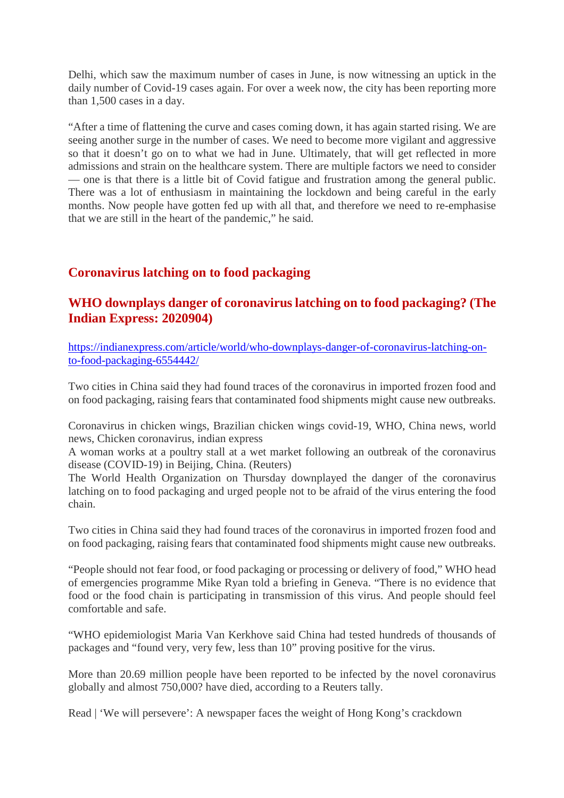Delhi, which saw the maximum number of cases in June, is now witnessing an uptick in the daily number of Covid-19 cases again. For over a week now, the city has been reporting more than 1,500 cases in a day.

"After a time of flattening the curve and cases coming down, it has again started rising. We are seeing another surge in the number of cases. We need to become more vigilant and aggressive so that it doesn't go on to what we had in June. Ultimately, that will get reflected in more admissions and strain on the healthcare system. There are multiple factors we need to consider — one is that there is a little bit of Covid fatigue and frustration among the general public. There was a lot of enthusiasm in maintaining the lockdown and being careful in the early months. Now people have gotten fed up with all that, and therefore we need to re-emphasise that we are still in the heart of the pandemic," he said.

#### **Coronavirus latching on to food packaging**

#### **WHO downplays danger of coronavirus latching on to food packaging? (The Indian Express: 2020904)**

https://indianexpress.com/article/world/who-downplays-danger-of-coronavirus-latching-onto-food-packaging-6554442/

Two cities in China said they had found traces of the coronavirus in imported frozen food and on food packaging, raising fears that contaminated food shipments might cause new outbreaks.

Coronavirus in chicken wings, Brazilian chicken wings covid-19, WHO, China news, world news, Chicken coronavirus, indian express

A woman works at a poultry stall at a wet market following an outbreak of the coronavirus disease (COVID-19) in Beijing, China. (Reuters)

The World Health Organization on Thursday downplayed the danger of the coronavirus latching on to food packaging and urged people not to be afraid of the virus entering the food chain.

Two cities in China said they had found traces of the coronavirus in imported frozen food and on food packaging, raising fears that contaminated food shipments might cause new outbreaks.

"People should not fear food, or food packaging or processing or delivery of food," WHO head of emergencies programme Mike Ryan told a briefing in Geneva. "There is no evidence that food or the food chain is participating in transmission of this virus. And people should feel comfortable and safe.

"WHO epidemiologist Maria Van Kerkhove said China had tested hundreds of thousands of packages and "found very, very few, less than 10" proving positive for the virus.

More than 20.69 million people have been reported to be infected by the novel coronavirus globally and almost 750,000? have died, according to a Reuters tally.

Read | 'We will persevere': A newspaper faces the weight of Hong Kong's crackdown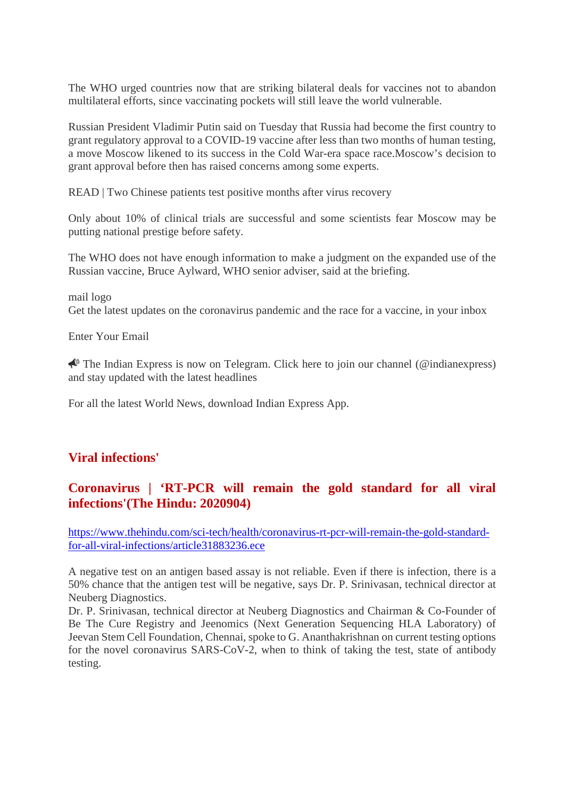The WHO urged countries now that are striking bilateral deals for vaccines not to abandon multilateral efforts, since vaccinating pockets will still leave the world vulnerable.

Russian President Vladimir Putin said on Tuesday that Russia had become the first country to grant regulatory approval to a COVID-19 vaccine after less than two months of human testing, a move Moscow likened to its success in the Cold War-era space race.Moscow's decision to grant approval before then has raised concerns among some experts.

READ | Two Chinese patients test positive months after virus recovery

Only about 10% of clinical trials are successful and some scientists fear Moscow may be putting national prestige before safety.

The WHO does not have enough information to make a judgment on the expanded use of the Russian vaccine, Bruce Aylward, WHO senior adviser, said at the briefing.

mail logo Get the latest updates on the coronavirus pandemic and the race for a vaccine, in your inbox

Enter Your Email

 $\triangle$  The Indian Express is now on Telegram. Click here to join our channel (@indianexpress) and stay updated with the latest headlines

For all the latest World News, download Indian Express App.

#### **Viral infections'**

#### **Coronavirus | 'RT-PCR will remain the gold standard for all viral infections'(The Hindu: 2020904)**

https://www.thehindu.com/sci-tech/health/coronavirus-rt-pcr-will-remain-the-gold-standardfor-all-viral-infections/article31883236.ece

A negative test on an antigen based assay is not reliable. Even if there is infection, there is a 50% chance that the antigen test will be negative, says Dr. P. Srinivasan, technical director at Neuberg Diagnostics.

Dr. P. Srinivasan, technical director at Neuberg Diagnostics and Chairman & Co-Founder of Be The Cure Registry and Jeenomics (Next Generation Sequencing HLA Laboratory) of Jeevan Stem Cell Foundation, Chennai, spoke to G. Ananthakrishnan on current testing options for the novel coronavirus SARS-CoV-2, when to think of taking the test, state of antibody testing.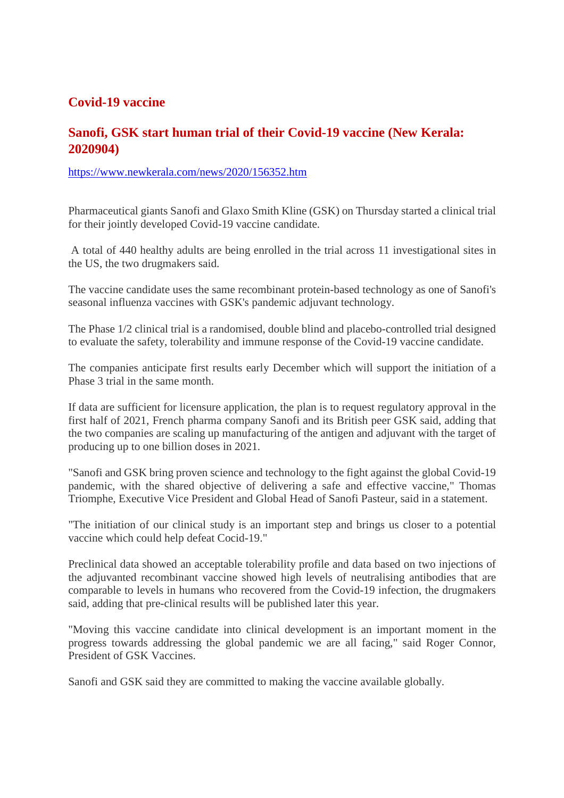#### **Covid-19 vaccine**

#### **Sanofi, GSK start human trial of their Covid-19 vaccine (New Kerala: 2020904)**

https://www.newkerala.com/news/2020/156352.htm

Pharmaceutical giants Sanofi and Glaxo Smith Kline (GSK) on Thursday started a clinical trial for their jointly developed Covid-19 vaccine candidate.

A total of 440 healthy adults are being enrolled in the trial across 11 investigational sites in the US, the two drugmakers said.

The vaccine candidate uses the same recombinant protein-based technology as one of Sanofi's seasonal influenza vaccines with GSK's pandemic adjuvant technology.

The Phase 1/2 clinical trial is a randomised, double blind and placebo-controlled trial designed to evaluate the safety, tolerability and immune response of the Covid-19 vaccine candidate.

The companies anticipate first results early December which will support the initiation of a Phase 3 trial in the same month.

If data are sufficient for licensure application, the plan is to request regulatory approval in the first half of 2021, French pharma company Sanofi and its British peer GSK said, adding that the two companies are scaling up manufacturing of the antigen and adjuvant with the target of producing up to one billion doses in 2021.

"Sanofi and GSK bring proven science and technology to the fight against the global Covid-19 pandemic, with the shared objective of delivering a safe and effective vaccine," Thomas Triomphe, Executive Vice President and Global Head of Sanofi Pasteur, said in a statement.

"The initiation of our clinical study is an important step and brings us closer to a potential vaccine which could help defeat Cocid-19."

Preclinical data showed an acceptable tolerability profile and data based on two injections of the adjuvanted recombinant vaccine showed high levels of neutralising antibodies that are comparable to levels in humans who recovered from the Covid-19 infection, the drugmakers said, adding that pre-clinical results will be published later this year.

"Moving this vaccine candidate into clinical development is an important moment in the progress towards addressing the global pandemic we are all facing," said Roger Connor, President of GSK Vaccines.

Sanofi and GSK said they are committed to making the vaccine available globally.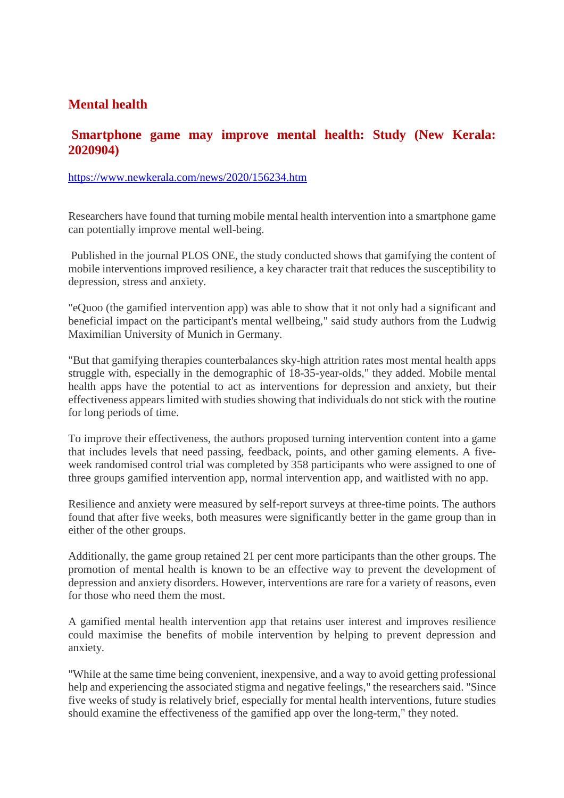#### **Mental health**

#### **Smartphone game may improve mental health: Study (New Kerala: 2020904)**

#### https://www.newkerala.com/news/2020/156234.htm

Researchers have found that turning mobile mental health intervention into a smartphone game can potentially improve mental well-being.

Published in the journal PLOS ONE, the study conducted shows that gamifying the content of mobile interventions improved resilience, a key character trait that reduces the susceptibility to depression, stress and anxiety.

"eQuoo (the gamified intervention app) was able to show that it not only had a significant and beneficial impact on the participant's mental wellbeing," said study authors from the Ludwig Maximilian University of Munich in Germany.

"But that gamifying therapies counterbalances sky-high attrition rates most mental health apps struggle with, especially in the demographic of 18-35-year-olds," they added. Mobile mental health apps have the potential to act as interventions for depression and anxiety, but their effectiveness appears limited with studies showing that individuals do not stick with the routine for long periods of time.

To improve their effectiveness, the authors proposed turning intervention content into a game that includes levels that need passing, feedback, points, and other gaming elements. A fiveweek randomised control trial was completed by 358 participants who were assigned to one of three groups gamified intervention app, normal intervention app, and waitlisted with no app.

Resilience and anxiety were measured by self-report surveys at three-time points. The authors found that after five weeks, both measures were significantly better in the game group than in either of the other groups.

Additionally, the game group retained 21 per cent more participants than the other groups. The promotion of mental health is known to be an effective way to prevent the development of depression and anxiety disorders. However, interventions are rare for a variety of reasons, even for those who need them the most.

A gamified mental health intervention app that retains user interest and improves resilience could maximise the benefits of mobile intervention by helping to prevent depression and anxiety.

"While at the same time being convenient, inexpensive, and a way to avoid getting professional help and experiencing the associated stigma and negative feelings," the researchers said. "Since five weeks of study is relatively brief, especially for mental health interventions, future studies should examine the effectiveness of the gamified app over the long-term," they noted.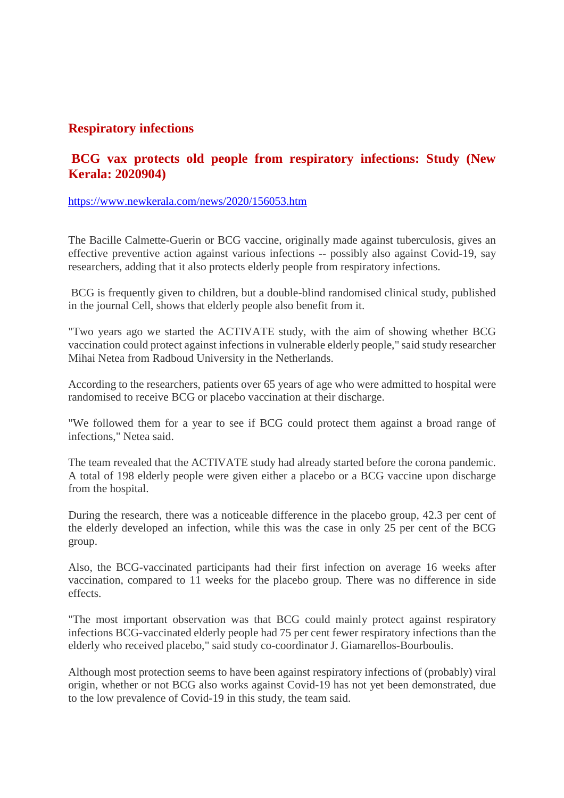#### **Respiratory infections**

#### **BCG vax protects old people from respiratory infections: Study (New Kerala: 2020904)**

https://www.newkerala.com/news/2020/156053.htm

The Bacille Calmette-Guerin or BCG vaccine, originally made against tuberculosis, gives an effective preventive action against various infections -- possibly also against Covid-19, say researchers, adding that it also protects elderly people from respiratory infections.

BCG is frequently given to children, but a double-blind randomised clinical study, published in the journal Cell, shows that elderly people also benefit from it.

"Two years ago we started the ACTIVATE study, with the aim of showing whether BCG vaccination could protect against infections in vulnerable elderly people," said study researcher Mihai Netea from Radboud University in the Netherlands.

According to the researchers, patients over 65 years of age who were admitted to hospital were randomised to receive BCG or placebo vaccination at their discharge.

"We followed them for a year to see if BCG could protect them against a broad range of infections," Netea said.

The team revealed that the ACTIVATE study had already started before the corona pandemic. A total of 198 elderly people were given either a placebo or a BCG vaccine upon discharge from the hospital.

During the research, there was a noticeable difference in the placebo group, 42.3 per cent of the elderly developed an infection, while this was the case in only 25 per cent of the BCG group.

Also, the BCG-vaccinated participants had their first infection on average 16 weeks after vaccination, compared to 11 weeks for the placebo group. There was no difference in side effects.

"The most important observation was that BCG could mainly protect against respiratory infections BCG-vaccinated elderly people had 75 per cent fewer respiratory infections than the elderly who received placebo," said study co-coordinator J. Giamarellos-Bourboulis.

Although most protection seems to have been against respiratory infections of (probably) viral origin, whether or not BCG also works against Covid-19 has not yet been demonstrated, due to the low prevalence of Covid-19 in this study, the team said.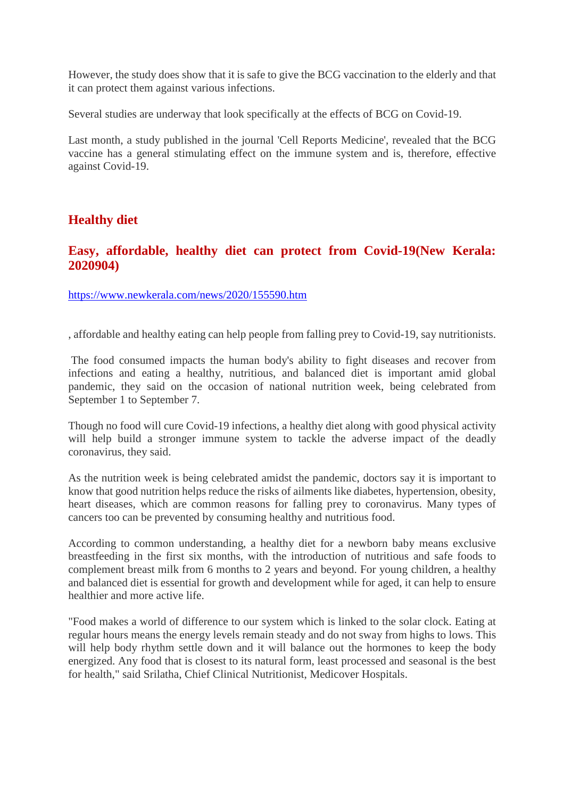However, the study does show that it is safe to give the BCG vaccination to the elderly and that it can protect them against various infections.

Several studies are underway that look specifically at the effects of BCG on Covid-19.

Last month, a study published in the journal 'Cell Reports Medicine', revealed that the BCG vaccine has a general stimulating effect on the immune system and is, therefore, effective against Covid-19.

#### **Healthy diet**

#### **Easy, affordable, healthy diet can protect from Covid-19(New Kerala: 2020904)**

https://www.newkerala.com/news/2020/155590.htm

, affordable and healthy eating can help people from falling prey to Covid-19, say nutritionists.

The food consumed impacts the human body's ability to fight diseases and recover from infections and eating a healthy, nutritious, and balanced diet is important amid global pandemic, they said on the occasion of national nutrition week, being celebrated from September 1 to September 7.

Though no food will cure Covid-19 infections, a healthy diet along with good physical activity will help build a stronger immune system to tackle the adverse impact of the deadly coronavirus, they said.

As the nutrition week is being celebrated amidst the pandemic, doctors say it is important to know that good nutrition helps reduce the risks of ailments like diabetes, hypertension, obesity, heart diseases, which are common reasons for falling prey to coronavirus. Many types of cancers too can be prevented by consuming healthy and nutritious food.

According to common understanding, a healthy diet for a newborn baby means exclusive breastfeeding in the first six months, with the introduction of nutritious and safe foods to complement breast milk from 6 months to 2 years and beyond. For young children, a healthy and balanced diet is essential for growth and development while for aged, it can help to ensure healthier and more active life.

"Food makes a world of difference to our system which is linked to the solar clock. Eating at regular hours means the energy levels remain steady and do not sway from highs to lows. This will help body rhythm settle down and it will balance out the hormones to keep the body energized. Any food that is closest to its natural form, least processed and seasonal is the best for health," said Srilatha, Chief Clinical Nutritionist, Medicover Hospitals.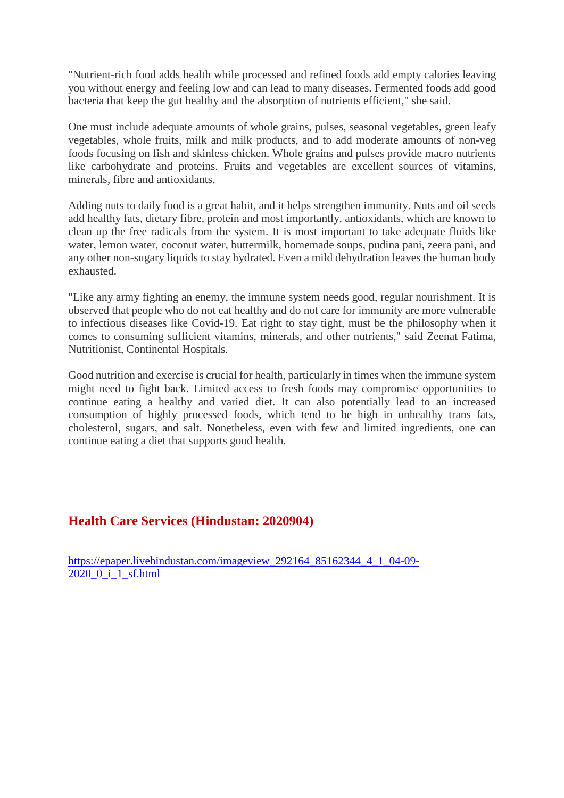"Nutrient-rich food adds health while processed and refined foods add empty calories leaving you without energy and feeling low and can lead to many diseases. Fermented foods add good bacteria that keep the gut healthy and the absorption of nutrients efficient," she said.

One must include adequate amounts of whole grains, pulses, seasonal vegetables, green leafy vegetables, whole fruits, milk and milk products, and to add moderate amounts of non-veg foods focusing on fish and skinless chicken. Whole grains and pulses provide macro nutrients like carbohydrate and proteins. Fruits and vegetables are excellent sources of vitamins, minerals, fibre and antioxidants.

Adding nuts to daily food is a great habit, and it helps strengthen immunity. Nuts and oil seeds add healthy fats, dietary fibre, protein and most importantly, antioxidants, which are known to clean up the free radicals from the system. It is most important to take adequate fluids like water, lemon water, coconut water, buttermilk, homemade soups, pudina pani, zeera pani, and any other non-sugary liquids to stay hydrated. Even a mild dehydration leaves the human body exhausted.

"Like any army fighting an enemy, the immune system needs good, regular nourishment. It is observed that people who do not eat healthy and do not care for immunity are more vulnerable to infectious diseases like Covid-19. Eat right to stay tight, must be the philosophy when it comes to consuming sufficient vitamins, minerals, and other nutrients," said Zeenat Fatima, Nutritionist, Continental Hospitals.

Good nutrition and exercise is crucial for health, particularly in times when the immune system might need to fight back. Limited access to fresh foods may compromise opportunities to continue eating a healthy and varied diet. It can also potentially lead to an increased consumption of highly processed foods, which tend to be high in unhealthy trans fats, cholesterol, sugars, and salt. Nonetheless, even with few and limited ingredients, one can continue eating a diet that supports good health.

#### **Health Care Services (Hindustan: 2020904)**

https://epaper.livehindustan.com/imageview\_292164\_85162344\_4\_1\_04-09- 2020\_0\_i\_1\_sf.html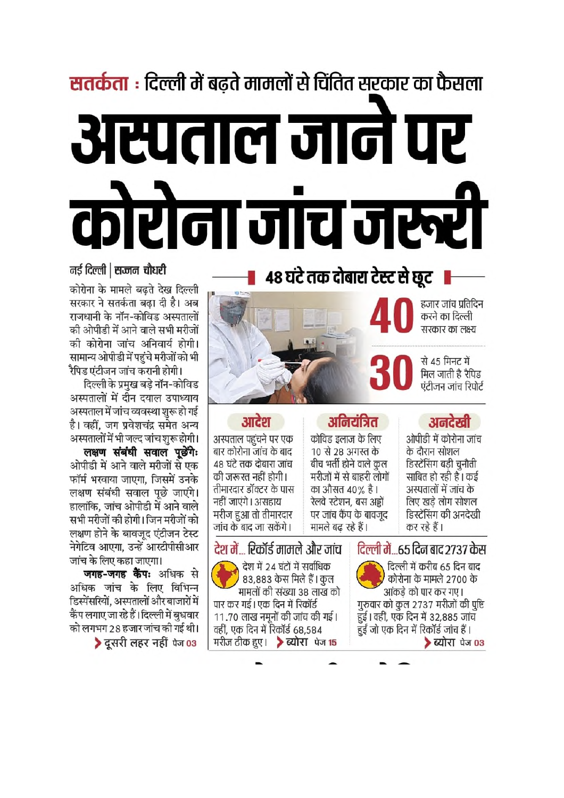## सतर्कता : दिल्ली में बढ़ते मामलों से चिंतित सरकार का फैसला अस्पताल जाने पर कोरोना जांच जरूरी

#### 48 घंटे तक दोबारा टेस्ट से छूट हजार जांच प्रतिदिन करने का दिल्ली सरकार का लक्ष्य से 45 मिनट में मिल जाती है रैपिड एंटीजन जांच रिपोर्ट

#### अनियंत्रित

कोविड इलाज के लिए 10 से 28 अगस्त के बीच भर्ती होने वाले कुल मरीजों में से बाहरी लोगों का औसत ४०% है। रेलवे स्टेशन, बस अड्डों पर जांच कैंप के बावजद मामले बढ रहे हैं।

#### अनदेखी ओपीडी में कोरोना जांच

के दौरान सोशल डिस्टेंसिंग बडी चुनौती साबित हो रही है। कई अस्पतालों में जांच के लिए खडे लोग सोशल डिस्टेंसिंग की अनदेखी कर रहे हैं।

#### तीमारदार डॉक्टर के पास नहीं जाएंगे। असहाय मरीज हुआ तो तीमारदार जांच के बाद जा सकेंगे। टेश में… रिकॉर्ड मामले और जांच

देश में 24 घंटों में सर्वाधिक 83,883 केस मिले हैं। कुल मामलों की संख्या 38 लाख को पार कर गई। एक दिन में रिकॉर्ड 11.70 लाख नमूनों की जांच की गई। वहीं, एक दिन में रिकॉर्ड 68,584 मरीज ठीक हए। > ब्योरा पेज 15

आदेश

अस्पताल पहुंचने पर एक

बार कोरोना जांच के बाद

४८ घंटे तक दोबारा जांच

की जरूरत नहीं होगी।

### नई दिल्ली | **सज्जन चौधरी**

कोरोना के मामले बढते देख दिल्ली सरकार ने सतर्कता बढा दी है। अब राजधानी के नॉन-कोविड अस्पतालों की ओपीडी में आने वाले सभी मरीजों की कोरोना जांच अनिवार्य होगी। सामान्य ओपीडी में पहुंचे मरीजों को भी

रैपिड एंटीजन जांच करानी होगी। दिल्ली के प्रमुख बड़े नॉन-कोविड अस्पतालों में दीन दयाल उपाध्याय अस्पताल में जांच व्यवस्था शुरू हो गई है। वहीं. जग प्रवेशचंद्र समेत अन्य अस्पतालों में भी जल्द जांच शुरू होगी। लक्षण संबंधी सवाल पूछेंगेः ओपीडी में आने वाले मरीजों से एक फॉर्म भरवाया जाएगा, जिसमें उनके लक्षण संबंधी सवाल पूछे जाएंगे। हालांकि. जांच ओपीडी में आने वाले सभी मरीजों की होगी। जिन मरीजों को लक्षण होने के बावजूद एंटीजन टेस्ट नेगेटिव आएगा. उन्हें आरटीपीसीआर जांच के लिए कहा जाएगा।

जगह-जगह कैंप: अधिक से अधिक जांच के लिए विभिन्न डिस्पेंसरियों, अस्पतालों और बाजारों में कैंप लगाए जा रहे हैं।दिल्ली में बुधवार को लगभग 28 हजार जांच की गई थी। ▶ दूसरी लहर नहीं पेज 03

<u>दिल्ली में .. ६५ दिन बाद २७३७ केस </u> दिल्ली में करीब 65 दिन बाद कोरोना के मामले 2700 के आंकडे को पार कर गए। गुरुवार को कुल 2737 मरीजों की पुष्टि हुई। वहीं, एक दिन में 32,885 जांच हुईं जो एक दिन में रिकॉर्ड जांच हैं। ▶ ब्योरा पेज 03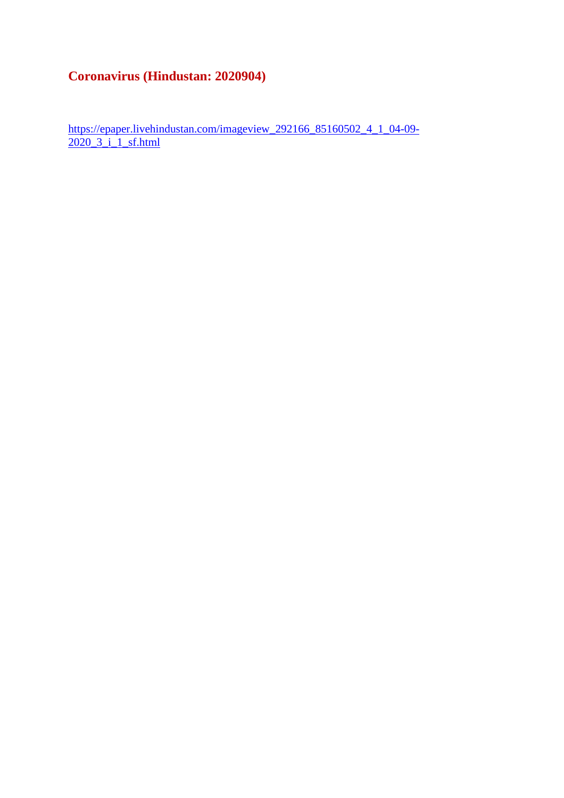#### **Coronavirus (Hindustan: 2020904)**

https://epaper.livehindustan.com/imageview\_292166\_85160502\_4\_1\_04-09-2020\_3\_i\_1\_sf.html